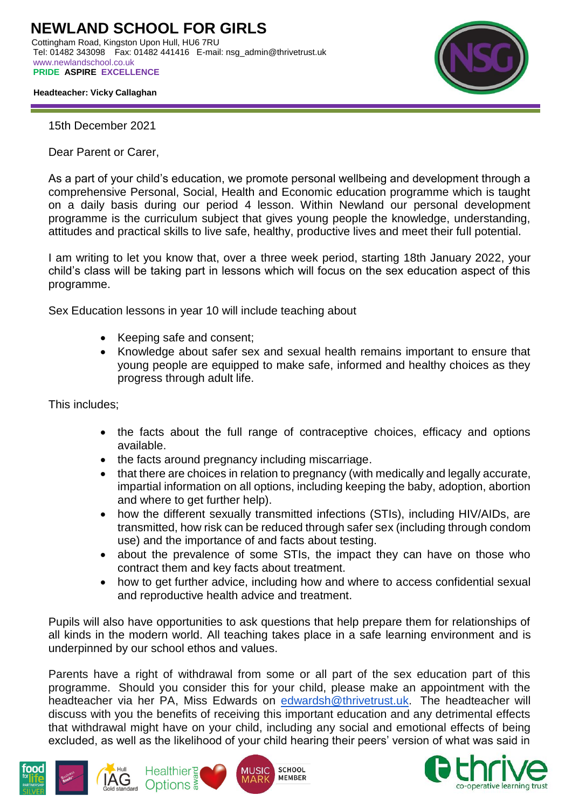

 **Headteacher: Vicky Callaghan**

15th December 2021

Dear Parent or Carer,

As a part of your child's education, we promote personal wellbeing and development through a comprehensive Personal, Social, Health and Economic education programme which is taught on a daily basis during our period 4 lesson. Within Newland our personal development programme is the curriculum subject that gives young people the knowledge, understanding, attitudes and practical skills to live safe, healthy, productive lives and meet their full potential.

I am writing to let you know that, over a three week period, starting 18th January 2022, your child's class will be taking part in lessons which will focus on the sex education aspect of this programme.

Sex Education lessons in year 10 will include teaching about

- Keeping safe and consent;
- Knowledge about safer sex and sexual health remains important to ensure that young people are equipped to make safe, informed and healthy choices as they progress through adult life.

This includes;

- the facts about the full range of contraceptive choices, efficacy and options available.
- the facts around pregnancy including miscarriage.
- that there are choices in relation to pregnancy (with medically and legally accurate, impartial information on all options, including keeping the baby, adoption, abortion and where to get further help).
- how the different sexually transmitted infections (STIs), including HIV/AIDs, are transmitted, how risk can be reduced through safer sex (including through condom use) and the importance of and facts about testing.
- about the prevalence of some STIs, the impact they can have on those who contract them and key facts about treatment.
- how to get further advice, including how and where to access confidential sexual and reproductive health advice and treatment.

Pupils will also have opportunities to ask questions that help prepare them for relationships of all kinds in the modern world. All teaching takes place in a safe learning environment and is underpinned by our school ethos and values.

Parents have a right of withdrawal from some or all part of the sex education part of this programme. Should you consider this for your child, please make an appointment with the headteacher via her PA, Miss Edwards on [edwardsh@thrivetrust.uk.](mailto:edwardsh@thrivetrust.uk) The headteacher will discuss with you the benefits of receiving this important education and any detrimental effects that withdrawal might have on your child, including any social and emotional effects of being excluded, as well as the likelihood of your child hearing their peers' version of what was said in